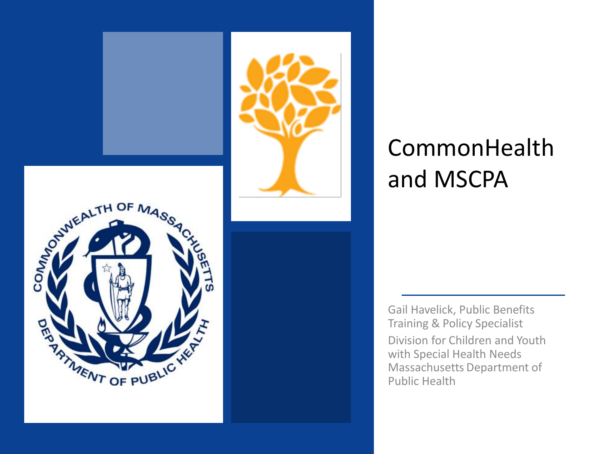

#### CommonHealth and MSCPA

Gail Havelick, Public Benefits Training & Policy Specialist Division for Children and Youth with Special Health Needs Massachusetts Department of Public Health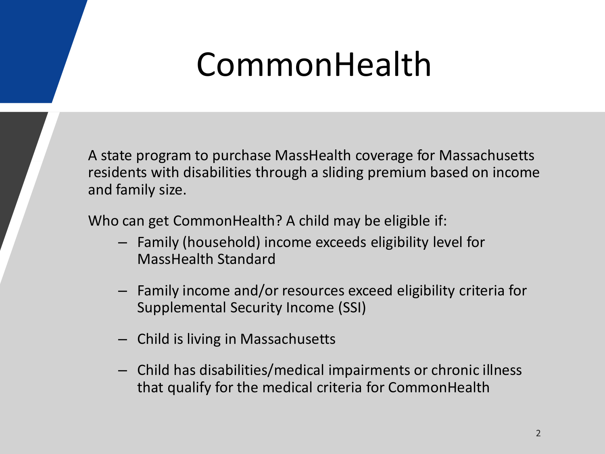## CommonHealth

A state program to purchase MassHealth coverage for Massachusetts residents with disabilities through a sliding premium based on income and family size.

Who can get CommonHealth? A child may be eligible if:

- Family (household) income exceeds eligibility level for MassHealth Standard
- Family income and/or resources exceed eligibility criteria for Supplemental Security Income (SSI)
- Child is living in Massachusetts
- Child has disabilities/medical impairments or chronic illness that qualify for the medical criteria for CommonHealth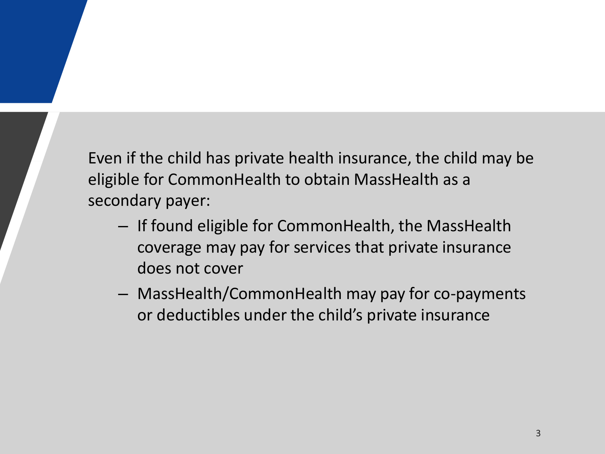Even if the child has private health insurance, the child may be eligible for CommonHealth to obtain MassHealth as a secondary payer:

- If found eligible for CommonHealth, the MassHealth coverage may pay for services that private insurance does not cover
- MassHealth/CommonHealth may pay for co-payments or deductibles under the child's private insurance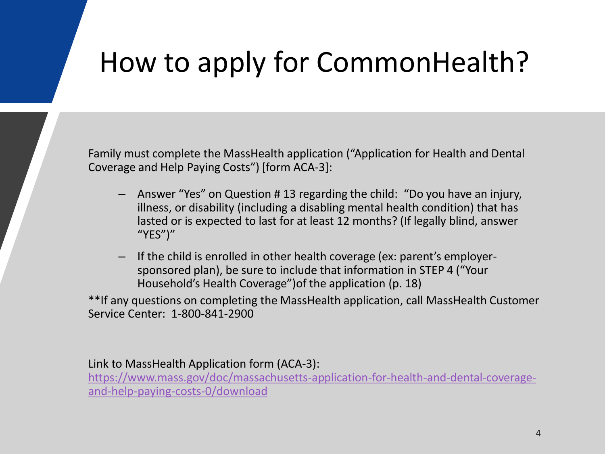#### How to apply for CommonHealth?

Family must complete the MassHealth application ("Application for Health and Dental Coverage and Help Paying Costs") [form ACA-3]:

- Answer "Yes" on Question # 13 regarding the child: "Do you have an injury, illness, or disability (including a disabling mental health condition) that has lasted or is expected to last for at least 12 months? (If legally blind, answer "YES")"
- If the child is enrolled in other health coverage (ex: parent's employersponsored plan), be sure to include that information in STEP 4 ("Your Household's Health Coverage")of the application (p. 18)

\*\*If any questions on completing the MassHealth application, call MassHealth Customer Service Center: 1-800-841-2900

Link to MassHealth Application form (ACA-3):

[https://www.mass.gov/doc/massachusetts-application-for-health-and-dental-coverage](https://www.mass.gov/doc/massachusetts-application-for-health-and-dental-coverage-and-help-paying-costs-0/download)and-help-paying-costs-0/download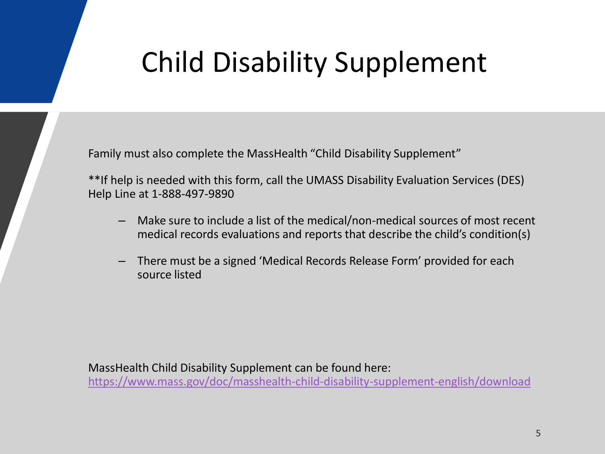#### Child Disability Supplement

Family must also complete the MassHealth "Child Disability Supplement"

\*\*If help is needed with this form, call the UMASS Disability Evaluation Services (DES) Help Line at 1-888-497-9890

- Make sure to include a list of the medical/non-medical sources of most recent medical records evaluations and reports that describe the child's condition(s)
- There must be a signed 'Medical Records Release Form' provided for each source listed

MassHealth Child Disability Supplement can be found here: <https://www.mass.gov/doc/masshealth-child-disability-supplement-english/download>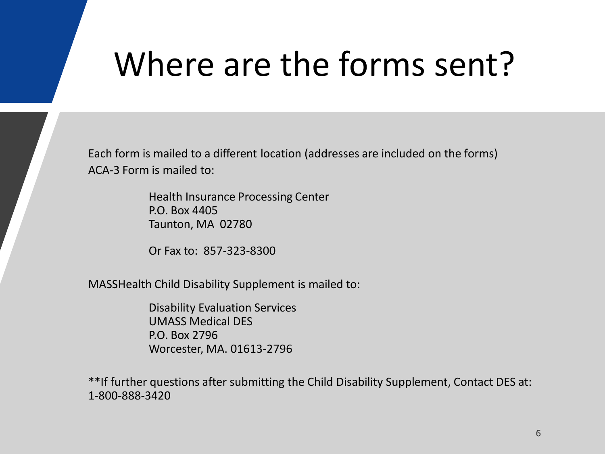# Where are the forms sent?

Each form is mailed to a different location (addresses are included on the forms) ACA-3 Form is mailed to:

> Health Insurance Processing Center P.O. Box 4405 Taunton, MA 02780

Or Fax to: 857-323-8300

MASSHealth Child Disability Supplement is mailed to:

Disability Evaluation Services UMASS Medical DES P.O. Box 2796 Worcester, MA. 01613-2796

\*\*If further questions after submitting the Child Disability Supplement, Contact DES at: 1-800-888-3420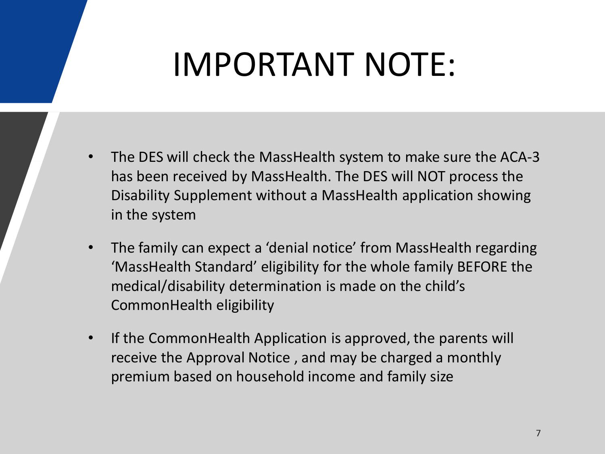# IMPORTANT NOTE:

- The DES will check the MassHealth system to make sure the ACA-3 has been received by MassHealth. The DES will NOT process the Disability Supplement without a MassHealth application showing in the system
- The family can expect a 'denial notice' from MassHealth regarding 'MassHealth Standard' eligibility for the whole family BEFORE the medical/disability determination is made on the child's CommonHealth eligibility
- If the CommonHealth Application is approved, the parents will receive the Approval Notice , and may be charged a monthly premium based on household income and family size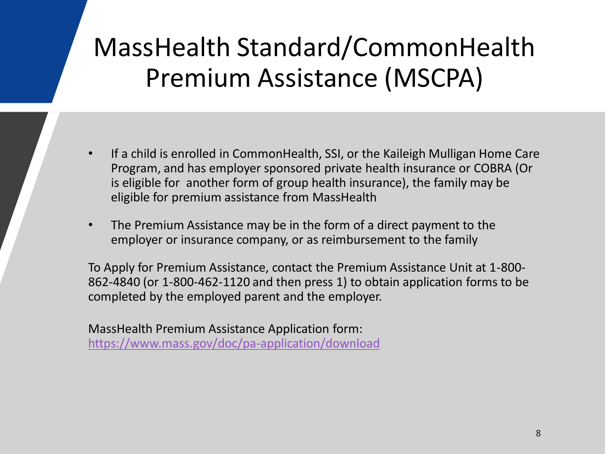#### MassHealth Standard/CommonHealth Premium Assistance (MSCPA)

- If a child is enrolled in CommonHealth, SSI, or the Kaileigh Mulligan Home Care Program, and has employer sponsored private health insurance or COBRA (Or is eligible for another form of group health insurance), the family may be eligible for premium assistance from MassHealth
- The Premium Assistance may be in the form of a direct payment to the employer or insurance company, or as reimbursement to the family

To Apply for Premium Assistance, contact the Premium Assistance Unit at 1-800- 862-4840 (or 1-800-462-1120 and then press 1) to obtain application forms to be completed by the employed parent and the employer.

MassHealth Premium Assistance Application form: <https://www.mass.gov/doc/pa-application/download>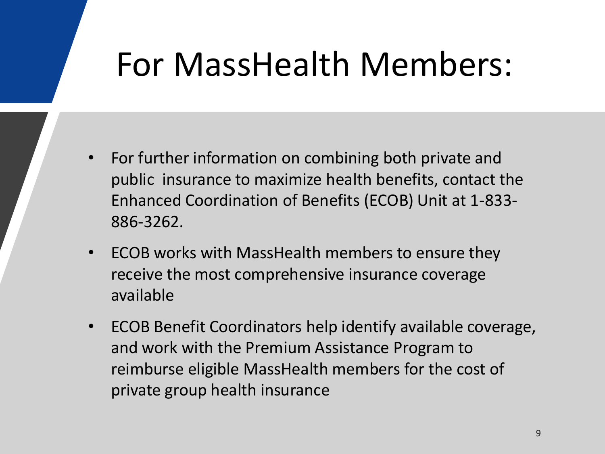## For MassHealth Members:

- For further information on combining both private and public insurance to maximize health benefits, contact the Enhanced Coordination of Benefits (ECOB) Unit at 1-833- 886-3262.
- ECOB works with MassHealth members to ensure they receive the most comprehensive insurance coverage available
- ECOB Benefit Coordinators help identify available coverage, and work with the Premium Assistance Program to reimburse eligible MassHealth members for the cost of private group health insurance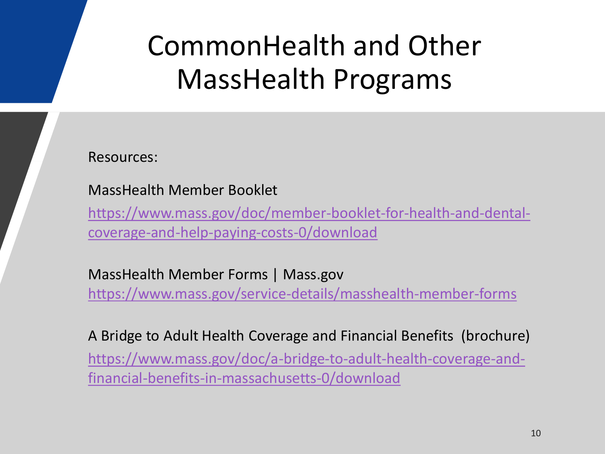#### CommonHealth and Other MassHealth Programs

Resources:

MassHealth Member Booklet

[https://www.mass.gov/doc/member-booklet-for-health-and-dental](https://www.mass.gov/doc/member-booklet-for-health-and-dental-coverage-and-help-paying-costs-0/download)coverage-and-help-paying-costs-0/download

MassHealth Member Forms | Mass.gov <https://www.mass.gov/service-details/masshealth-member-forms>

A Bridge to Adult Health Coverage and Financial Benefits (brochure) [https://www.mass.gov/doc/a-bridge-to-adult-health-coverage-and](https://www.mass.gov/doc/a-bridge-to-adult-health-coverage-and-financial-benefits-in-massachusetts-0/download)financial-benefits-in-massachusetts-0/download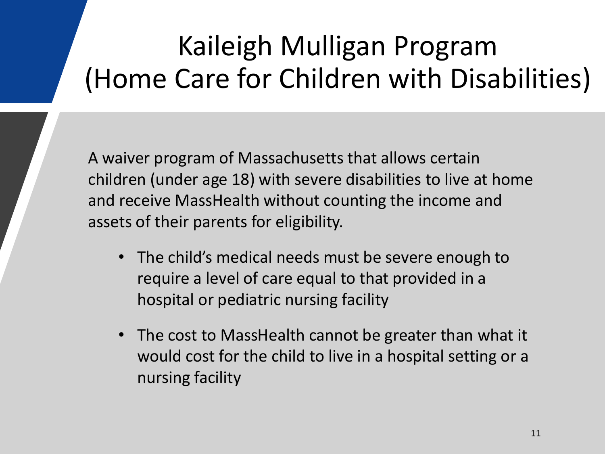#### Kaileigh Mulligan Program (Home Care for Children with Disabilities)

A waiver program of Massachusetts that allows certain children (under age 18) with severe disabilities to live at home and receive MassHealth without counting the income and assets of their parents for eligibility.

- The child's medical needs must be severe enough to require a level of care equal to that provided in a hospital or pediatric nursing facility
- The cost to MassHealth cannot be greater than what it would cost for the child to live in a hospital setting or a nursing facility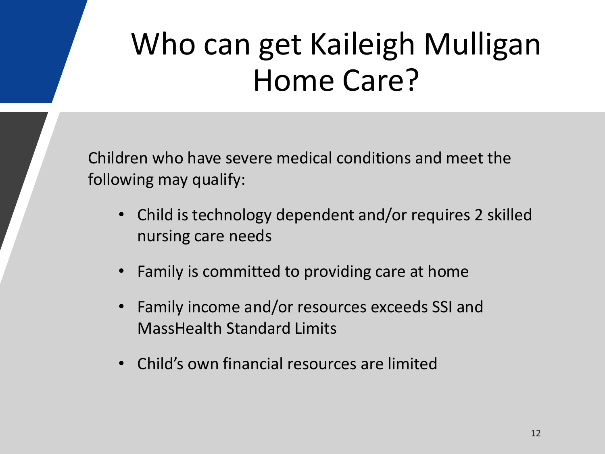## Who can get Kaileigh Mulligan Home Care?

Children who have severe medical conditions and meet the following may qualify:

- Child is technology dependent and/or requires 2 skilled nursing care needs
- Family is committed to providing care at home
- Family income and/or resources exceeds SSI and MassHealth Standard Limits
- Child's own financial resources are limited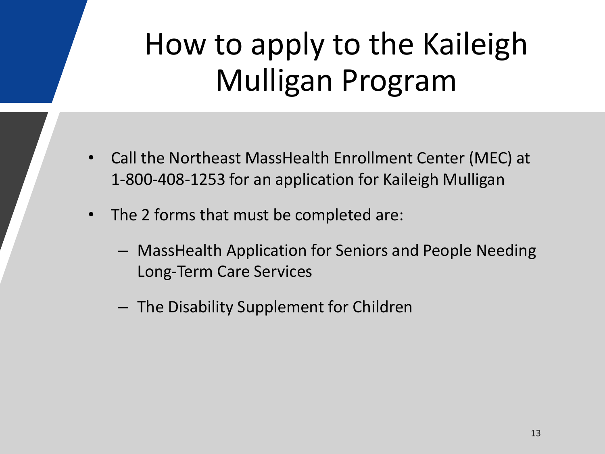## How to apply to the Kaileigh Mulligan Program

- Call the Northeast MassHealth Enrollment Center (MEC) at 1-800-408-1253 for an application for Kaileigh Mulligan
- The 2 forms that must be completed are:
	- MassHealth Application for Seniors and People Needing Long-Term Care Services
	- The Disability Supplement for Children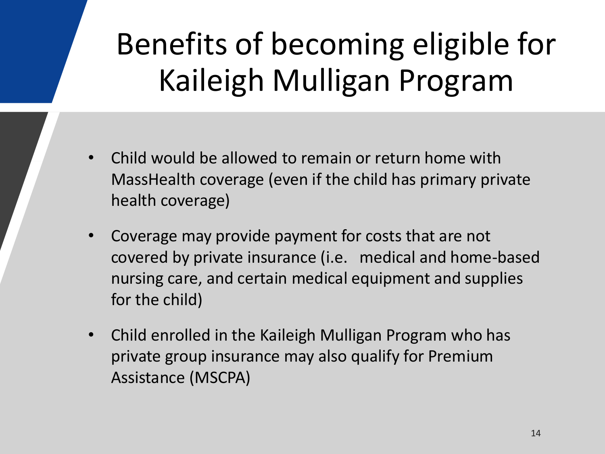# Benefits of becoming eligible for Kaileigh Mulligan Program

- Child would be allowed to remain or return home with MassHealth coverage (even if the child has primary private health coverage)
- Coverage may provide payment for costs that are not covered by private insurance (i.e. medical and home-based nursing care, and certain medical equipment and supplies for the child)
- Child enrolled in the Kaileigh Mulligan Program who has private group insurance may also qualify for Premium Assistance (MSCPA)